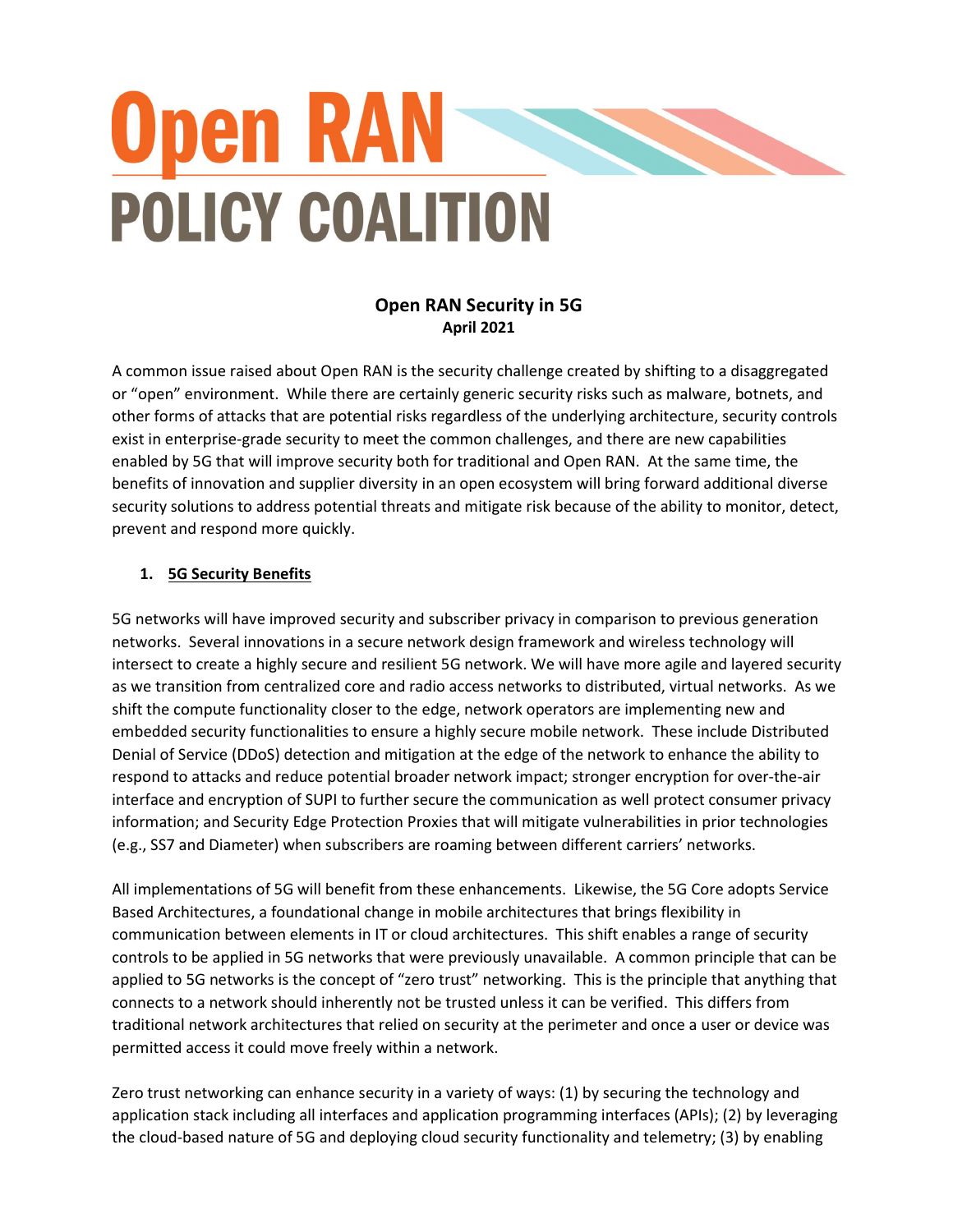# **Open RAN-POLICY COALITION**

## Open RAN Security in 5G April 2021

A common issue raised about Open RAN is the security challenge created by shifting to a disaggregated or "open" environment. While there are certainly generic security risks such as malware, botnets, and other forms of attacks that are potential risks regardless of the underlying architecture, security controls exist in enterprise-grade security to meet the common challenges, and there are new capabilities enabled by 5G that will improve security both for traditional and Open RAN. At the same time, the benefits of innovation and supplier diversity in an open ecosystem will bring forward additional diverse security solutions to address potential threats and mitigate risk because of the ability to monitor, detect, prevent and respond more quickly.

## 1. 5G Security Benefits

5G networks will have improved security and subscriber privacy in comparison to previous generation networks. Several innovations in a secure network design framework and wireless technology will intersect to create a highly secure and resilient 5G network. We will have more agile and layered security as we transition from centralized core and radio access networks to distributed, virtual networks. As we shift the compute functionality closer to the edge, network operators are implementing new and embedded security functionalities to ensure a highly secure mobile network. These include Distributed Denial of Service (DDoS) detection and mitigation at the edge of the network to enhance the ability to respond to attacks and reduce potential broader network impact; stronger encryption for over-the-air interface and encryption of SUPI to further secure the communication as well protect consumer privacy information; and Security Edge Protection Proxies that will mitigate vulnerabilities in prior technologies (e.g., SS7 and Diameter) when subscribers are roaming between different carriers' networks.

All implementations of 5G will benefit from these enhancements. Likewise, the 5G Core adopts Service Based Architectures, a foundational change in mobile architectures that brings flexibility in communication between elements in IT or cloud architectures. This shift enables a range of security controls to be applied in 5G networks that were previously unavailable. A common principle that can be applied to 5G networks is the concept of "zero trust" networking. This is the principle that anything that connects to a network should inherently not be trusted unless it can be verified. This differs from traditional network architectures that relied on security at the perimeter and once a user or device was permitted access it could move freely within a network.

Zero trust networking can enhance security in a variety of ways: (1) by securing the technology and application stack including all interfaces and application programming interfaces (APIs); (2) by leveraging the cloud-based nature of 5G and deploying cloud security functionality and telemetry; (3) by enabling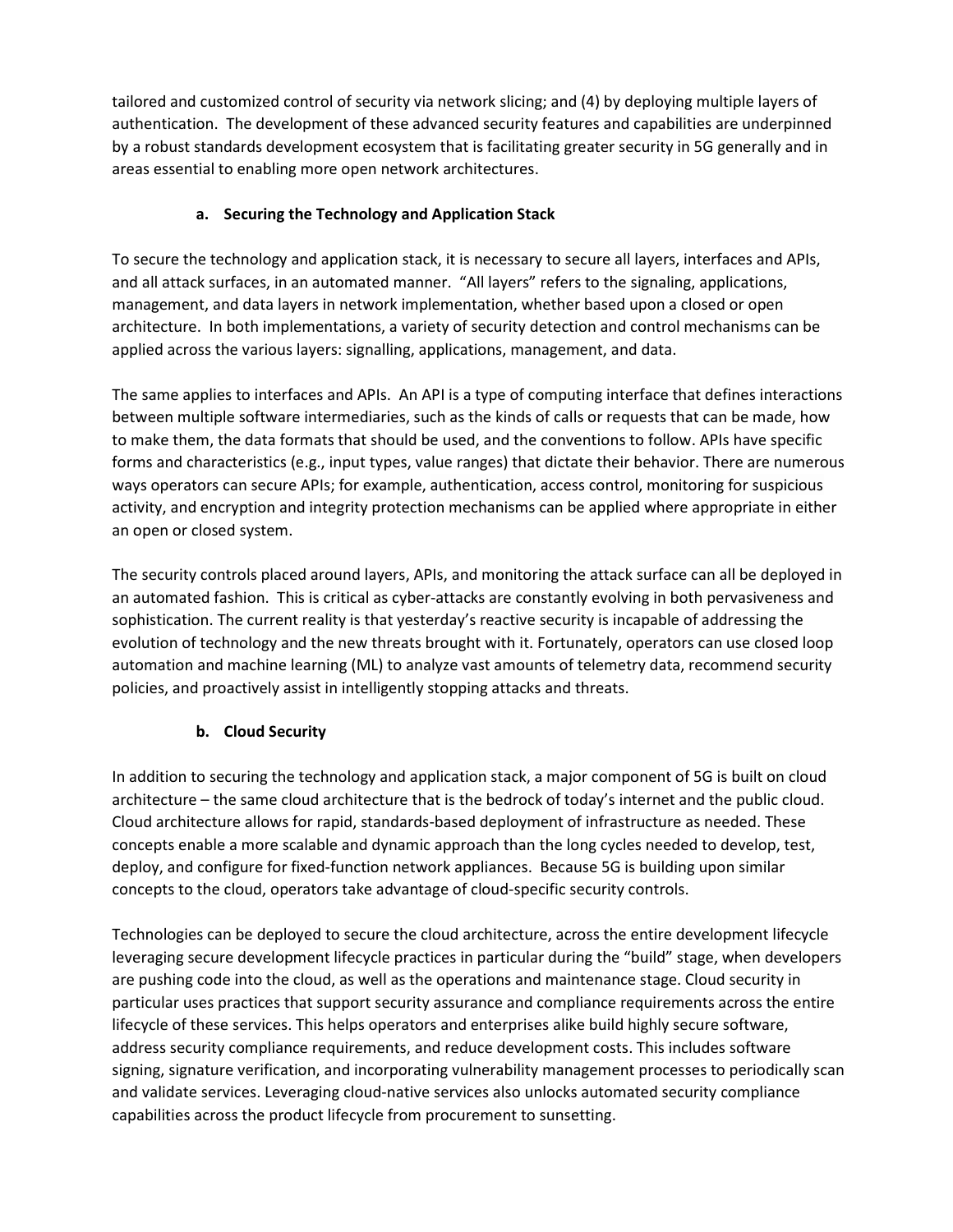tailored and customized control of security via network slicing; and (4) by deploying multiple layers of authentication. The development of these advanced security features and capabilities are underpinned by a robust standards development ecosystem that is facilitating greater security in 5G generally and in areas essential to enabling more open network architectures.

#### a. Securing the Technology and Application Stack

To secure the technology and application stack, it is necessary to secure all layers, interfaces and APIs, and all attack surfaces, in an automated manner. "All layers" refers to the signaling, applications, management, and data layers in network implementation, whether based upon a closed or open architecture. In both implementations, a variety of security detection and control mechanisms can be applied across the various layers: signalling, applications, management, and data.

The same applies to interfaces and APIs. An API is a type of computing interface that defines interactions between multiple software intermediaries, such as the kinds of calls or requests that can be made, how to make them, the data formats that should be used, and the conventions to follow. APIs have specific forms and characteristics (e.g., input types, value ranges) that dictate their behavior. There are numerous ways operators can secure APIs; for example, authentication, access control, monitoring for suspicious activity, and encryption and integrity protection mechanisms can be applied where appropriate in either an open or closed system.

The security controls placed around layers, APIs, and monitoring the attack surface can all be deployed in an automated fashion. This is critical as cyber-attacks are constantly evolving in both pervasiveness and sophistication. The current reality is that yesterday's reactive security is incapable of addressing the evolution of technology and the new threats brought with it. Fortunately, operators can use closed loop automation and machine learning (ML) to analyze vast amounts of telemetry data, recommend security policies, and proactively assist in intelligently stopping attacks and threats.

## b. Cloud Security

In addition to securing the technology and application stack, a major component of 5G is built on cloud architecture – the same cloud architecture that is the bedrock of today's internet and the public cloud. Cloud architecture allows for rapid, standards-based deployment of infrastructure as needed. These concepts enable a more scalable and dynamic approach than the long cycles needed to develop, test, deploy, and configure for fixed-function network appliances. Because 5G is building upon similar concepts to the cloud, operators take advantage of cloud-specific security controls.

Technologies can be deployed to secure the cloud architecture, across the entire development lifecycle leveraging secure development lifecycle practices in particular during the "build" stage, when developers are pushing code into the cloud, as well as the operations and maintenance stage. Cloud security in particular uses practices that support security assurance and compliance requirements across the entire lifecycle of these services. This helps operators and enterprises alike build highly secure software, address security compliance requirements, and reduce development costs. This includes software signing, signature verification, and incorporating vulnerability management processes to periodically scan and validate services. Leveraging cloud-native services also unlocks automated security compliance capabilities across the product lifecycle from procurement to sunsetting.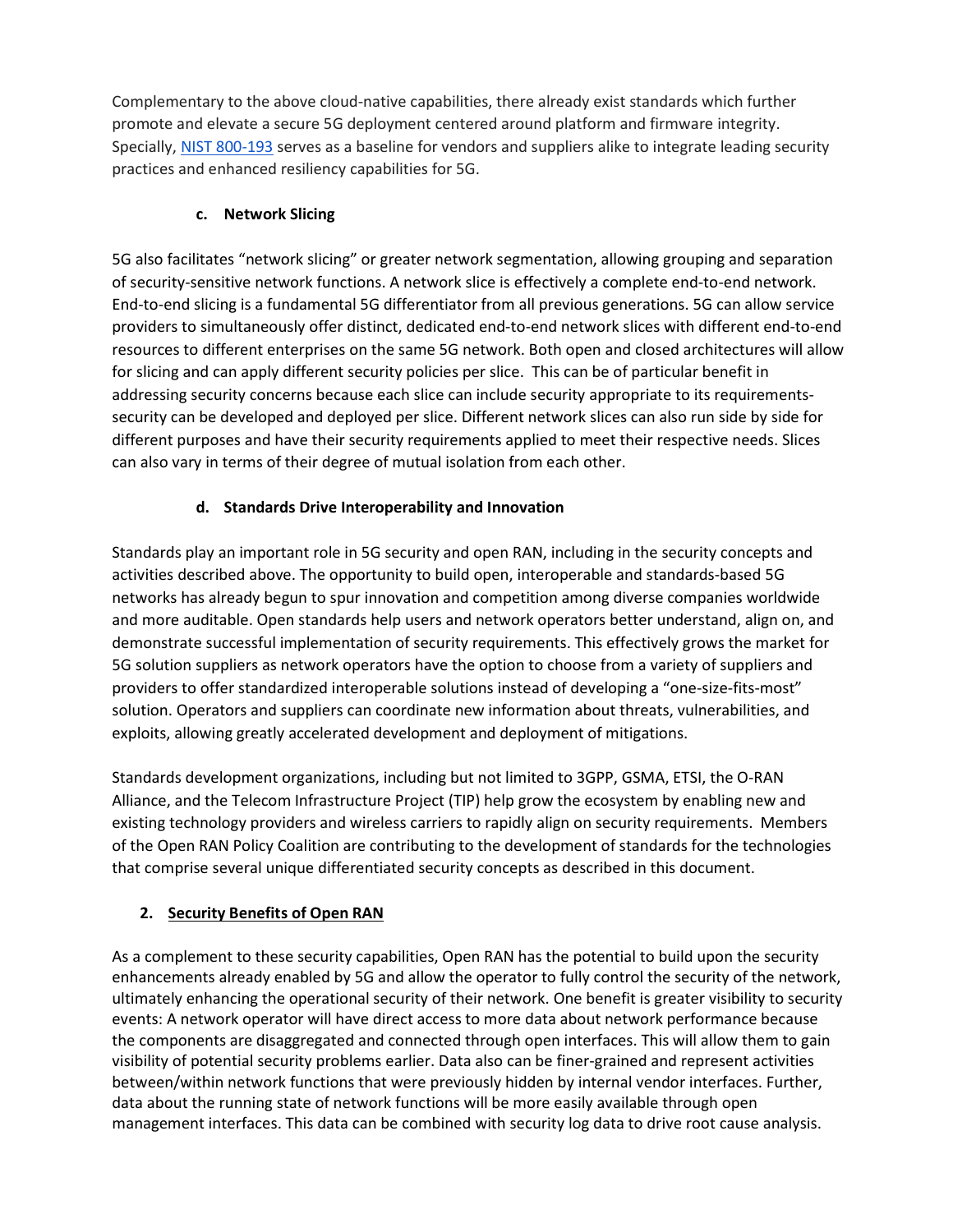Complementary to the above cloud-native capabilities, there already exist standards which further promote and elevate a secure 5G deployment centered around platform and firmware integrity. Specially, NIST 800-193 serves as a baseline for vendors and suppliers alike to integrate leading security practices and enhanced resiliency capabilities for 5G.

#### c. Network Slicing

5G also facilitates "network slicing" or greater network segmentation, allowing grouping and separation of security-sensitive network functions. A network slice is effectively a complete end-to-end network. End-to-end slicing is a fundamental 5G differentiator from all previous generations. 5G can allow service providers to simultaneously offer distinct, dedicated end-to-end network slices with different end-to-end resources to different enterprises on the same 5G network. Both open and closed architectures will allow for slicing and can apply different security policies per slice. This can be of particular benefit in addressing security concerns because each slice can include security appropriate to its requirementssecurity can be developed and deployed per slice. Different network slices can also run side by side for different purposes and have their security requirements applied to meet their respective needs. Slices can also vary in terms of their degree of mutual isolation from each other.

## d. Standards Drive Interoperability and Innovation

Standards play an important role in 5G security and open RAN, including in the security concepts and activities described above. The opportunity to build open, interoperable and standards-based 5G networks has already begun to spur innovation and competition among diverse companies worldwide and more auditable. Open standards help users and network operators better understand, align on, and demonstrate successful implementation of security requirements. This effectively grows the market for 5G solution suppliers as network operators have the option to choose from a variety of suppliers and providers to offer standardized interoperable solutions instead of developing a "one-size-fits-most" solution. Operators and suppliers can coordinate new information about threats, vulnerabilities, and exploits, allowing greatly accelerated development and deployment of mitigations.

Standards development organizations, including but not limited to 3GPP, GSMA, ETSI, the O-RAN Alliance, and the Telecom Infrastructure Project (TIP) help grow the ecosystem by enabling new and existing technology providers and wireless carriers to rapidly align on security requirements. Members of the Open RAN Policy Coalition are contributing to the development of standards for the technologies that comprise several unique differentiated security concepts as described in this document.

## 2. Security Benefits of Open RAN

As a complement to these security capabilities, Open RAN has the potential to build upon the security enhancements already enabled by 5G and allow the operator to fully control the security of the network, ultimately enhancing the operational security of their network. One benefit is greater visibility to security events: A network operator will have direct access to more data about network performance because the components are disaggregated and connected through open interfaces. This will allow them to gain visibility of potential security problems earlier. Data also can be finer-grained and represent activities between/within network functions that were previously hidden by internal vendor interfaces. Further, data about the running state of network functions will be more easily available through open management interfaces. This data can be combined with security log data to drive root cause analysis.